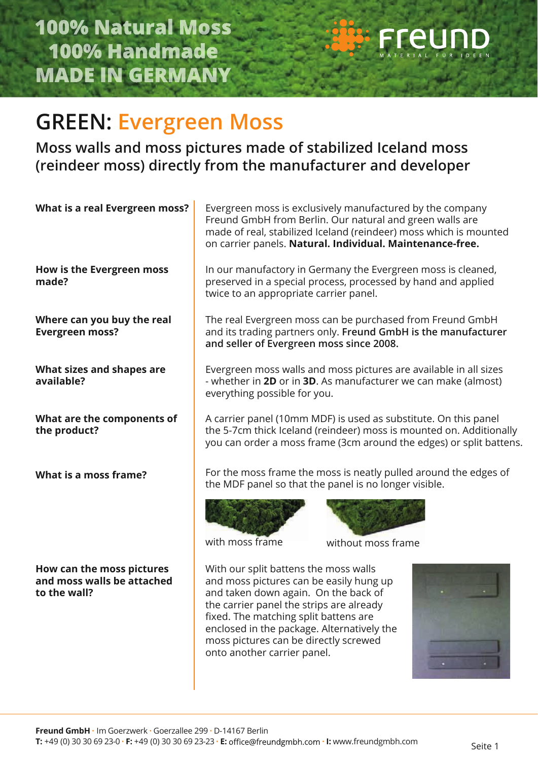

## **GREEN: Evergreen Moss**

**Moss walls and moss pictures made of stabilized Iceland moss (reindeer moss) directly from the manufacturer and developer**

| What is a real Evergreen moss?                                          | Evergreen moss is exclusively manufactured by the company<br>Freund GmbH from Berlin. Our natural and green walls are<br>made of real, stabilized Iceland (reindeer) moss which is mounted<br>on carrier panels. Natural. Individual. Maintenance-free. |
|-------------------------------------------------------------------------|---------------------------------------------------------------------------------------------------------------------------------------------------------------------------------------------------------------------------------------------------------|
| How is the Evergreen moss<br>made?                                      | In our manufactory in Germany the Evergreen moss is cleaned,<br>preserved in a special process, processed by hand and applied<br>twice to an appropriate carrier panel.                                                                                 |
| Where can you buy the real<br><b>Evergreen moss?</b>                    | The real Evergreen moss can be purchased from Freund GmbH<br>and its trading partners only. Freund GmbH is the manufacturer<br>and seller of Evergreen moss since 2008.                                                                                 |
| What sizes and shapes are<br>available?                                 | Evergreen moss walls and moss pictures are available in all sizes<br>- whether in 2D or in 3D. As manufacturer we can make (almost)<br>everything possible for you.                                                                                     |
| What are the components of<br>the product?                              | A carrier panel (10mm MDF) is used as substitute. On this panel<br>the 5-7cm thick Iceland (reindeer) moss is mounted on. Additionally<br>you can order a moss frame (3cm around the edges) or split battens.                                           |
| What is a moss frame?                                                   | For the moss frame the moss is neatly pulled around the edges of<br>the MDF panel so that the panel is no longer visible.<br>with moss frame<br>without moss frame                                                                                      |
| How can the moss pictures<br>and moss walls be attached<br>to the wall? | With our split battens the moss walls<br>and moss pictures can be easily hung up<br>and taken down again. On the back of                                                                                                                                |

the carrier panel the strips are already fixed. The matching split battens are enclosed in the package. Alternatively the moss pictures can be directly screwed

onto another carrier panel.